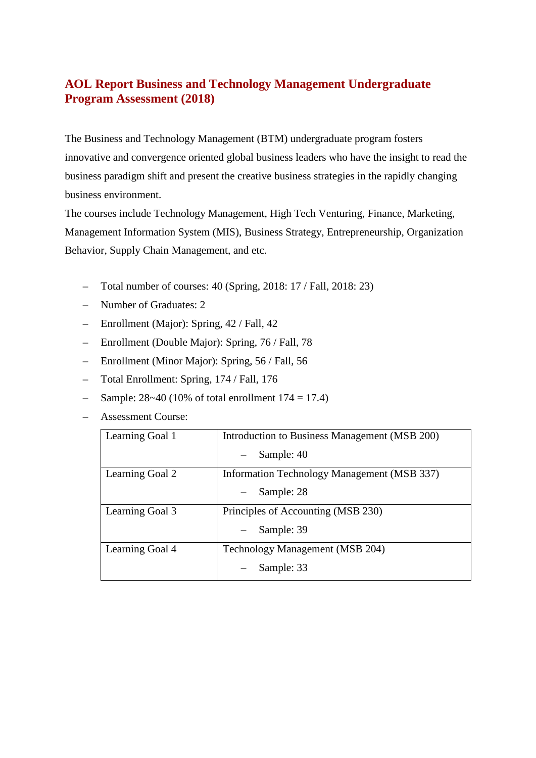## **AOL Report Business and Technology Management Undergraduate Program Assessment (2018)**

The Business and Technology Management (BTM) undergraduate program fosters innovative and convergence oriented global business leaders who have the insight to read the business paradigm shift and present the creative business strategies in the rapidly changing business environment.

The courses include Technology Management, High Tech Venturing, Finance, Marketing, Management Information System (MIS), Business Strategy, Entrepreneurship, Organization Behavior, Supply Chain Management, and etc.

- Total number of courses: 40 (Spring, 2018: 17 / Fall, 2018: 23)
- Number of Graduates: 2
- Enrollment (Major): Spring, 42 / Fall, 42
- Enrollment (Double Major): Spring, 76 / Fall, 78
- Enrollment (Minor Major): Spring, 56 / Fall, 56
- Total Enrollment: Spring, 174 / Fall, 176
- Sample:  $28~40$  (10% of total enrollment  $174 = 17.4$ )
- Assessment Course:

| Learning Goal 1 | Introduction to Business Management (MSB 200) |
|-----------------|-----------------------------------------------|
|                 | Sample: 40                                    |
| Learning Goal 2 | Information Technology Management (MSB 337)   |
|                 | Sample: 28                                    |
| Learning Goal 3 | Principles of Accounting (MSB 230)            |
|                 | Sample: 39                                    |
| Learning Goal 4 | Technology Management (MSB 204)               |
|                 | Sample: 33                                    |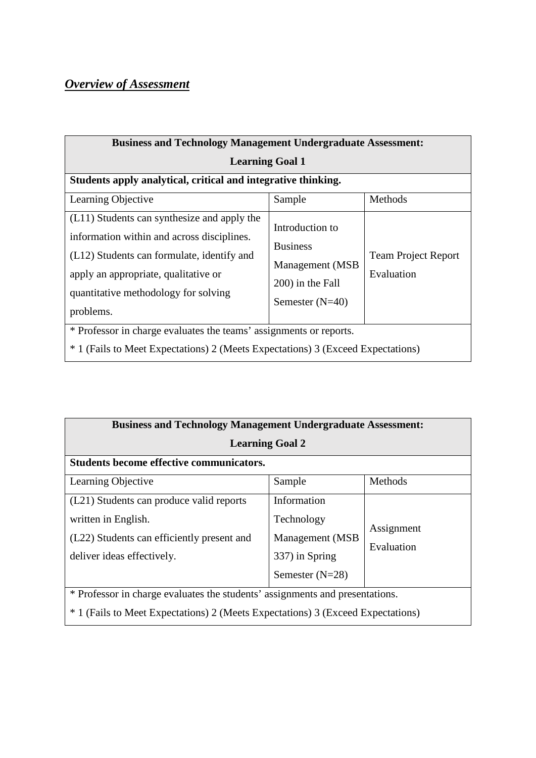# *Overview of Assessment*

| <b>Business and Technology Management Undergraduate Assessment:</b>                                                                                                                                                                  |                                                                                                |                                          |  |  |  |  |  |  |  |
|--------------------------------------------------------------------------------------------------------------------------------------------------------------------------------------------------------------------------------------|------------------------------------------------------------------------------------------------|------------------------------------------|--|--|--|--|--|--|--|
| <b>Learning Goal 1</b>                                                                                                                                                                                                               |                                                                                                |                                          |  |  |  |  |  |  |  |
| Students apply analytical, critical and integrative thinking.                                                                                                                                                                        |                                                                                                |                                          |  |  |  |  |  |  |  |
| Learning Objective                                                                                                                                                                                                                   | Sample                                                                                         | Methods                                  |  |  |  |  |  |  |  |
| (L11) Students can synthesize and apply the<br>information within and across disciplines.<br>(L12) Students can formulate, identify and<br>apply an appropriate, qualitative or<br>quantitative methodology for solving<br>problems. | Introduction to<br><b>Business</b><br>Management (MSB<br>200) in the Fall<br>Semester $(N=40)$ | <b>Team Project Report</b><br>Evaluation |  |  |  |  |  |  |  |
| * Professor in charge evaluates the teams' assignments or reports.<br><sup>*</sup> 1 (Fails to Meet Expectations) 2 (Meets Expectations) 3 (Exceed Expectations)                                                                     |                                                                                                |                                          |  |  |  |  |  |  |  |

|                                                                                 | <b>Business and Technology Management Undergraduate Assessment:</b> |            |  |  |  |  |  |  |  |
|---------------------------------------------------------------------------------|---------------------------------------------------------------------|------------|--|--|--|--|--|--|--|
| <b>Learning Goal 2</b>                                                          |                                                                     |            |  |  |  |  |  |  |  |
| <b>Students become effective communicators.</b>                                 |                                                                     |            |  |  |  |  |  |  |  |
| Learning Objective                                                              | Sample                                                              | Methods    |  |  |  |  |  |  |  |
| (L21) Students can produce valid reports                                        | Information                                                         |            |  |  |  |  |  |  |  |
| written in English.                                                             | Technology                                                          | Assignment |  |  |  |  |  |  |  |
| (L22) Students can efficiently present and                                      | Management (MSB)                                                    | Evaluation |  |  |  |  |  |  |  |
| deliver ideas effectively.                                                      | 337) in Spring                                                      |            |  |  |  |  |  |  |  |
| Semester $(N=28)$                                                               |                                                                     |            |  |  |  |  |  |  |  |
| * Professor in charge evaluates the students' assignments and presentations.    |                                                                     |            |  |  |  |  |  |  |  |
| * 1 (Fails to Meet Expectations) 2 (Meets Expectations) 3 (Exceed Expectations) |                                                                     |            |  |  |  |  |  |  |  |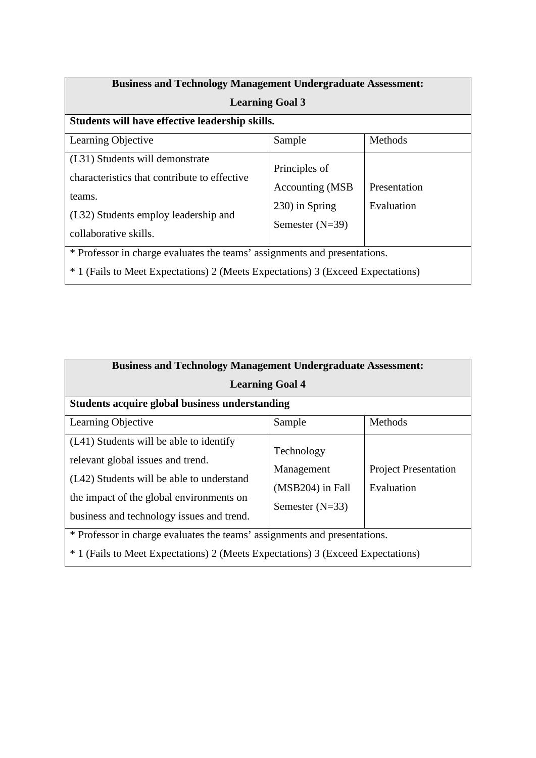| <b>Business and Technology Management Undergraduate Assessment:</b>                                                                                                     |                                                                          |                            |  |  |  |  |  |  |
|-------------------------------------------------------------------------------------------------------------------------------------------------------------------------|--------------------------------------------------------------------------|----------------------------|--|--|--|--|--|--|
| <b>Learning Goal 3</b>                                                                                                                                                  |                                                                          |                            |  |  |  |  |  |  |
| Students will have effective leadership skills.                                                                                                                         |                                                                          |                            |  |  |  |  |  |  |
| Learning Objective                                                                                                                                                      | Sample                                                                   | Methods                    |  |  |  |  |  |  |
| (L31) Students will demonstrate<br>characteristics that contribute to effective<br>teams.<br>(L32) Students employ leadership and<br>collaborative skills.              | Principles of<br>Accounting (MSB)<br>230) in Spring<br>Semester $(N=39)$ | Presentation<br>Evaluation |  |  |  |  |  |  |
| * Professor in charge evaluates the teams' assignments and presentations.<br><sup>*</sup> 1 (Fails to Meet Expectations) 2 (Meets Expectations) 3 (Exceed Expectations) |                                                                          |                            |  |  |  |  |  |  |
|                                                                                                                                                                         |                                                                          |                            |  |  |  |  |  |  |

| <b>Business and Technology Management Undergraduate Assessment:</b>                                                                                                                                                |                                                                     |                                           |  |  |  |  |  |  |  |
|--------------------------------------------------------------------------------------------------------------------------------------------------------------------------------------------------------------------|---------------------------------------------------------------------|-------------------------------------------|--|--|--|--|--|--|--|
| <b>Learning Goal 4</b>                                                                                                                                                                                             |                                                                     |                                           |  |  |  |  |  |  |  |
| <b>Students acquire global business understanding</b>                                                                                                                                                              |                                                                     |                                           |  |  |  |  |  |  |  |
| Learning Objective                                                                                                                                                                                                 | Sample                                                              | Methods                                   |  |  |  |  |  |  |  |
| (L41) Students will be able to identify<br>relevant global issues and trend.<br>(L42) Students will be able to understand<br>the impact of the global environments on<br>business and technology issues and trend. | Technology<br>Management<br>$(MSB204)$ in Fall<br>Semester $(N=33)$ | <b>Project Presentation</b><br>Evaluation |  |  |  |  |  |  |  |
| * Professor in charge evaluates the teams' assignments and presentations.<br>* 1 (Fails to Meet Expectations) 2 (Meets Expectations) 3 (Exceed Expectations)                                                       |                                                                     |                                           |  |  |  |  |  |  |  |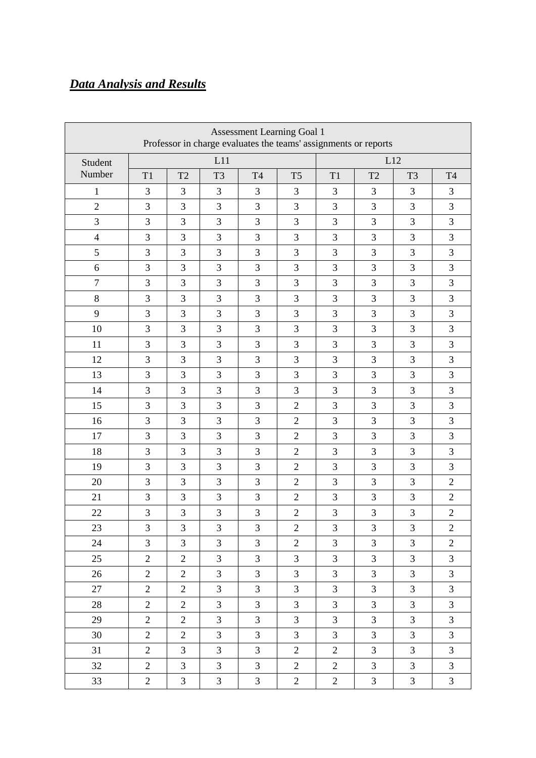## *Data Analysis and Results*

| <b>Assessment Learning Goal 1</b><br>Professor in charge evaluates the teams' assignments or reports |                |                |                |                |                |                |                |                |                |
|------------------------------------------------------------------------------------------------------|----------------|----------------|----------------|----------------|----------------|----------------|----------------|----------------|----------------|
| Student                                                                                              |                |                | L11            |                |                | L12            |                |                |                |
| Number                                                                                               | T1             | T <sub>2</sub> | T <sub>3</sub> | <b>T4</b>      | T <sub>5</sub> | T1             | T <sub>2</sub> | T <sub>3</sub> | <b>T4</b>      |
| 1                                                                                                    | 3              | $\overline{3}$ | 3              | 3              | 3              | 3              | 3              | 3              | 3              |
| $\mathbf{2}$                                                                                         | 3              | 3              | 3              | 3              | 3              | 3              | 3              | $\overline{3}$ | 3              |
| 3                                                                                                    | 3              | 3              | 3              | 3              | 3              | 3              | 3              | 3              | 3              |
| $\overline{4}$                                                                                       | 3              | 3              | 3              | 3              | 3              | 3              | 3              | $\overline{3}$ | 3              |
| 5                                                                                                    | 3              | 3              | 3              | 3              | 3              | 3              | 3              | 3              | 3              |
| 6                                                                                                    | 3              | 3              | 3              | 3              | 3              | 3              | 3              | 3              | 3              |
| $\tau$                                                                                               | 3              | 3              | 3              | 3              | 3              | 3              | 3              | $\overline{3}$ | 3              |
| 8                                                                                                    | 3              | 3              | 3              | 3              | 3              | 3              | 3              | 3              | 3              |
| 9                                                                                                    | 3              | 3              | 3              | 3              | 3              | 3              | 3              | 3              | 3              |
| 10                                                                                                   | 3              | 3              | 3              | 3              | 3              | 3              | 3              | $\overline{3}$ | 3              |
| 11                                                                                                   | 3              | 3              | 3              | 3              | 3              | 3              | 3              | 3              | 3              |
| 12                                                                                                   | 3              | 3              | 3              | 3              | 3              | 3              | 3              | 3              | 3              |
| 13                                                                                                   | 3              | 3              | 3              | 3              | 3              | 3              | 3              | $\overline{3}$ | 3              |
| 14                                                                                                   | 3              | 3              | 3              | 3              | 3              | 3              | 3              | 3              | 3              |
| 15                                                                                                   | 3              | 3              | 3              | 3              | $\overline{2}$ | 3              | 3              | $\overline{3}$ | 3              |
| 16                                                                                                   | 3              | 3              | 3              | 3              | $\mathbf{2}$   | 3              | 3              | $\overline{3}$ | 3              |
| 17                                                                                                   | 3              | 3              | 3              | 3              | $\overline{2}$ | 3              | 3              | 3              | 3              |
| 18                                                                                                   | 3              | 3              | 3              | 3              | $\overline{2}$ | 3              | 3              | 3              | 3              |
| 19                                                                                                   | 3              | 3              | 3              | $\overline{3}$ | $\overline{2}$ | 3              | 3              | $\overline{3}$ | 3              |
| 20                                                                                                   | 3              | 3              | 3              | 3              | $\overline{2}$ | 3              | 3              | 3              | $\overline{2}$ |
| 21                                                                                                   | 3              | 3              | 3              | 3              | $\overline{2}$ | 3              | 3              | 3              | $\mathbf{2}$   |
| 22                                                                                                   | 3              | 3              | $\overline{3}$ | 3              | $\mathbf{2}$   | 3              | 3              | 3              | $\overline{2}$ |
| 23                                                                                                   | 3              | 3              | $\mathfrak{Z}$ | $\mathfrak{Z}$ | $\sqrt{2}$     | 3              | $\mathfrak{Z}$ | 3              | $\sqrt{2}$     |
| 24                                                                                                   | $\overline{3}$ | $\overline{3}$ | 3              | $\overline{3}$ | $\overline{2}$ | 3              | $\overline{3}$ | $\overline{3}$ | $\overline{2}$ |
| 25                                                                                                   | $\overline{2}$ | $\overline{2}$ | 3              | $\overline{3}$ | $\overline{3}$ | 3              | $\mathfrak{Z}$ | $\mathfrak{Z}$ | $\mathfrak{Z}$ |
| 26                                                                                                   | $\overline{2}$ | $\overline{2}$ | 3              | $\overline{3}$ | $\overline{3}$ | 3              | $\mathfrak{Z}$ | 3              | 3              |
| 27                                                                                                   | $\overline{2}$ | $\overline{2}$ | 3              | 3              | 3              | 3              | 3              | $\mathfrak{Z}$ | 3              |
| 28                                                                                                   | $\overline{2}$ | $\overline{2}$ | 3              | $\overline{3}$ | $\overline{3}$ | $\overline{3}$ | $\overline{3}$ | $\overline{3}$ | $\overline{3}$ |
| 29                                                                                                   | $\overline{2}$ | $\overline{2}$ | 3              | 3              | $\mathfrak{Z}$ | 3              | $\mathfrak{Z}$ | 3              | 3              |
| 30                                                                                                   | $\overline{2}$ | $\overline{2}$ | 3              | $\overline{3}$ | $\mathfrak{Z}$ | 3              | $\overline{3}$ | $\mathfrak{Z}$ | 3              |
| 31                                                                                                   | $\overline{2}$ | $\overline{3}$ | 3              | $\overline{3}$ | $\overline{2}$ | $\overline{2}$ | $\overline{3}$ | $\overline{3}$ | $\overline{3}$ |
| 32                                                                                                   | $\overline{2}$ | 3              | 3              | 3              | $\overline{2}$ | $\overline{2}$ | 3              | 3              | 3              |
| 33                                                                                                   | $\overline{2}$ | $\mathfrak{Z}$ | 3              | 3              | $\overline{2}$ | $\overline{2}$ | $\mathfrak{Z}$ | $\mathfrak{Z}$ | 3              |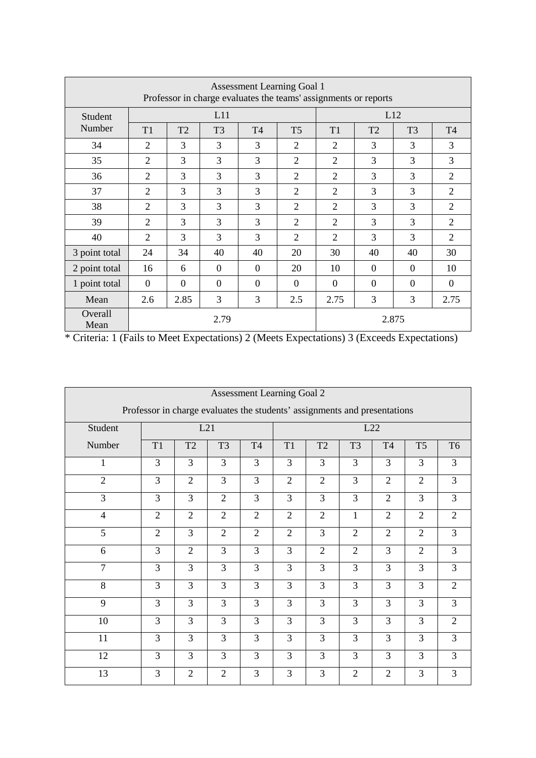| Assessment Learning Goal 1<br>Professor in charge evaluates the teams' assignments or reports |                |                |                |                |                |                |                |                |                |
|-----------------------------------------------------------------------------------------------|----------------|----------------|----------------|----------------|----------------|----------------|----------------|----------------|----------------|
| Student                                                                                       |                |                | L11            |                |                |                |                | L12            |                |
| Number                                                                                        | T <sub>1</sub> | T <sub>2</sub> | T <sub>3</sub> | <b>T4</b>      | T <sub>5</sub> | T1             | T <sub>2</sub> | T <sub>3</sub> | <b>T4</b>      |
| 34                                                                                            | $\overline{2}$ | 3              | 3              | 3              | 2              | 2              | 3              | 3              | 3              |
| 35                                                                                            | $\overline{2}$ | 3              | 3              | 3              | $\overline{2}$ | $\overline{2}$ | $\overline{3}$ | 3              | 3              |
| 36                                                                                            | $\overline{2}$ | 3              | 3              | 3              | $\overline{2}$ | $\overline{2}$ | 3              | 3              | $\overline{2}$ |
| 37                                                                                            | $\overline{2}$ | 3              | 3              | 3              | $\overline{2}$ | 2              | 3              | 3              | $\overline{2}$ |
| 38                                                                                            | $\overline{2}$ | 3              | 3              | 3              | $\overline{2}$ | $\overline{2}$ | 3              | 3              | $\overline{2}$ |
| 39                                                                                            | $\overline{2}$ | 3              | 3              | 3              | $\overline{2}$ | $\overline{2}$ | 3              | 3              | $\overline{2}$ |
| 40                                                                                            | $\overline{2}$ | $\overline{3}$ | 3              | 3              | $\overline{2}$ | $\overline{2}$ | $\overline{3}$ | 3              | $\overline{2}$ |
| 3 point total                                                                                 | 24             | 34             | 40             | 40             | 20             | 30             | 40             | 40             | 30             |
| 2 point total                                                                                 | 16             | 6              | $\overline{0}$ | $\overline{0}$ | 20             | 10             | $\overline{0}$ | $\overline{0}$ | 10             |
| 1 point total                                                                                 | $\overline{0}$ | $\Omega$       | $\overline{0}$ | $\overline{0}$ | $\overline{0}$ | $\overline{0}$ | $\overline{0}$ | $\overline{0}$ | $\Omega$       |
| Mean                                                                                          | 2.6            | 2.85           | 3              | 3              | 2.5            | 2.75           | 3              | 3              | 2.75           |
| Overall<br>Mean                                                                               |                |                | 2.79           |                |                |                |                | 2.875          |                |

| <b>Assessment Learning Goal 2</b>                                         |                |                |                |                |                |                |                |                |                |                |
|---------------------------------------------------------------------------|----------------|----------------|----------------|----------------|----------------|----------------|----------------|----------------|----------------|----------------|
| Professor in charge evaluates the students' assignments and presentations |                |                |                |                |                |                |                |                |                |                |
| Student                                                                   |                |                | L21            |                |                |                |                | L22            |                |                |
| Number                                                                    | T <sub>1</sub> | T <sub>2</sub> | T <sub>3</sub> | T <sub>4</sub> | T1             | T <sub>2</sub> | T <sub>3</sub> | T <sub>4</sub> | T <sub>5</sub> | T <sub>6</sub> |
| 1                                                                         | 3              | 3              | 3              | 3              | 3              | 3              | 3              | 3              | 3              | 3              |
| $\overline{2}$                                                            | 3              | $\overline{2}$ | 3              | 3              | $\overline{2}$ | $\overline{2}$ | 3              | $\overline{2}$ | $\overline{2}$ | 3              |
| 3                                                                         | 3              | 3              | $\overline{2}$ | $\overline{3}$ | $\overline{3}$ | $\overline{3}$ | 3              | $\overline{2}$ | 3              | 3              |
| $\overline{4}$                                                            | $\overline{2}$ | $\overline{2}$ | $\overline{2}$ | $\overline{2}$ | $\overline{2}$ | $\overline{2}$ | $\mathbf{1}$   | $\overline{2}$ | $\overline{2}$ | $\overline{2}$ |
| 5                                                                         | $\overline{2}$ | 3              | $\overline{2}$ | $\overline{2}$ | $\overline{2}$ | $\overline{3}$ | $\overline{2}$ | $\overline{2}$ | $\overline{2}$ | 3              |
| 6                                                                         | $\overline{3}$ | $\overline{2}$ | $\overline{3}$ | 3              | $\overline{3}$ | $\overline{2}$ | $\overline{2}$ | $\overline{3}$ | $\overline{2}$ | $\overline{3}$ |
| $\overline{7}$                                                            | 3              | 3              | 3              | 3              | 3              | $\overline{3}$ | 3              | 3              | 3              | 3              |
| 8                                                                         | 3              | 3              | 3              | 3              | 3              | 3              | 3              | 3              | 3              | $\mathfrak{2}$ |
| 9                                                                         | $\overline{3}$ | $\overline{3}$ | $\overline{3}$ | $\overline{3}$ | 3              | $\overline{3}$ | $\overline{3}$ | $\overline{3}$ | 3              | 3              |
| 10                                                                        | 3              | 3              | 3              | 3              | 3              | 3              | $\overline{3}$ | 3              | 3              | $\overline{2}$ |
| 11                                                                        | 3              | 3              | $\overline{3}$ | 3              | 3              | 3              | 3              | 3              | 3              | 3              |
| 12                                                                        | 3              | 3              | 3              | 3              | 3              | $\overline{3}$ | 3              | 3              | 3              | 3              |
| 13                                                                        | 3              | $\overline{2}$ | $\overline{2}$ | 3              | 3              | 3              | $\overline{2}$ | $\overline{2}$ | 3              | 3              |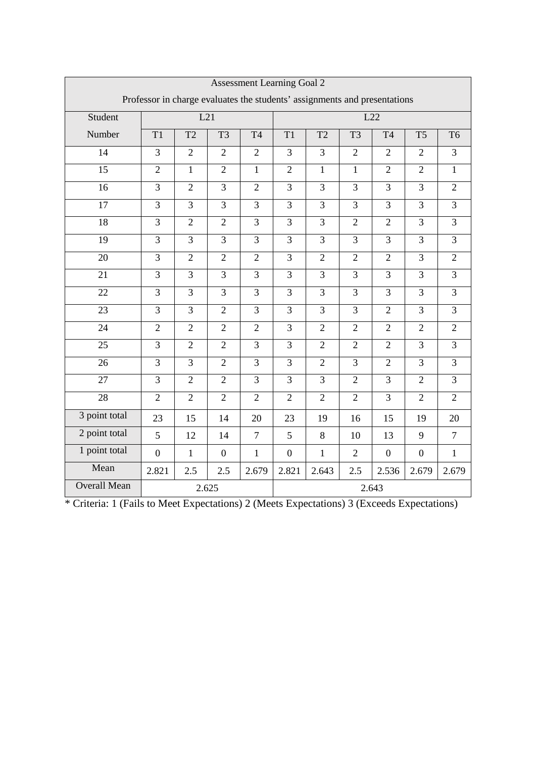|                     | <b>Assessment Learning Goal 2</b>                                         |                |                  |                |                  |                |                |                  |                  |                |
|---------------------|---------------------------------------------------------------------------|----------------|------------------|----------------|------------------|----------------|----------------|------------------|------------------|----------------|
|                     | Professor in charge evaluates the students' assignments and presentations |                |                  |                |                  |                |                |                  |                  |                |
| Student             |                                                                           | L21            |                  |                |                  |                |                | L22              |                  |                |
| Number              | T1                                                                        | T <sub>2</sub> | T <sub>3</sub>   | <b>T4</b>      | T1               | T <sub>2</sub> | T <sub>3</sub> | <b>T4</b>        | T <sub>5</sub>   | T <sub>6</sub> |
| 14                  | $\overline{3}$                                                            | $\overline{2}$ | $\overline{2}$   | $\overline{2}$ | $\overline{3}$   | $\overline{3}$ | $\overline{2}$ | $\overline{2}$   | $\overline{2}$   | $\overline{3}$ |
| $\overline{15}$     | $\overline{2}$                                                            | $\overline{1}$ | $\overline{2}$   | $\mathbf{1}$   | $\overline{2}$   | $\mathbf{1}$   | $\mathbf{1}$   | $\overline{2}$   | $\overline{2}$   | $\mathbf{1}$   |
| $\overline{16}$     | $\overline{3}$                                                            | $\overline{2}$ | $\overline{3}$   | $\overline{2}$ | $\overline{3}$   | $\overline{3}$ | $\overline{3}$ | $\overline{3}$   | $\overline{3}$   | $\overline{2}$ |
| $\overline{17}$     | $\overline{3}$                                                            | $\overline{3}$ | $\overline{3}$   | $\overline{3}$ | $\overline{3}$   | $\overline{3}$ | $\overline{3}$ | $\overline{3}$   | $\overline{3}$   | $\overline{3}$ |
| $\overline{18}$     | $\overline{3}$                                                            | $\overline{2}$ | $\overline{2}$   | $\overline{3}$ | $\overline{3}$   | $\overline{3}$ | $\overline{2}$ | $\overline{2}$   | $\overline{3}$   | $\overline{3}$ |
| 19                  | $\overline{3}$                                                            | $\overline{3}$ | $\overline{3}$   | $\overline{3}$ | $\overline{3}$   | $\overline{3}$ | $\overline{3}$ | $\overline{3}$   | $\overline{3}$   | $\overline{3}$ |
| 20                  | $\overline{3}$                                                            | $\overline{2}$ | $\overline{2}$   | $\overline{2}$ | $\overline{3}$   | $\overline{2}$ | $\overline{2}$ | $\overline{2}$   | $\overline{3}$   | $\overline{2}$ |
| 21                  | $\overline{3}$                                                            | $\overline{3}$ | $\overline{3}$   | $\overline{3}$ | $\overline{3}$   | $\overline{3}$ | $\overline{3}$ | $\overline{3}$   | $\overline{3}$   | $\overline{3}$ |
| 22                  | $\overline{3}$                                                            | $\overline{3}$ | $\overline{3}$   | $\overline{3}$ | $\overline{3}$   | $\overline{3}$ | $\overline{3}$ | $\overline{3}$   | $\overline{3}$   | $\overline{3}$ |
| 23                  | $\overline{3}$                                                            | $\overline{3}$ | $\overline{2}$   | $\overline{3}$ | $\overline{3}$   | $\overline{3}$ | $\overline{3}$ | $\overline{2}$   | $\overline{3}$   | $\overline{3}$ |
| 24                  | $\overline{2}$                                                            | $\overline{2}$ | $\overline{2}$   | $\overline{2}$ | $\overline{3}$   | $\overline{2}$ | $\overline{2}$ | $\overline{2}$   | $\overline{2}$   | $\overline{2}$ |
| $\overline{25}$     | $\overline{3}$                                                            | $\overline{2}$ | $\overline{2}$   | $\overline{3}$ | $\overline{3}$   | $\overline{2}$ | $\overline{2}$ | $\overline{2}$   | $\overline{3}$   | $\overline{3}$ |
| 26                  | $\overline{3}$                                                            | $\overline{3}$ | $\overline{2}$   | $\overline{3}$ | $\overline{3}$   | $\overline{2}$ | $\overline{3}$ | $\overline{2}$   | $\overline{3}$   | $\overline{3}$ |
| $\overline{27}$     | $\overline{3}$                                                            | $\overline{2}$ | $\overline{2}$   | $\overline{3}$ | $\overline{3}$   | $\overline{3}$ | $\overline{2}$ | $\overline{3}$   | $\overline{2}$   | $\overline{3}$ |
| 28                  | $\overline{2}$                                                            | $\overline{2}$ | $\overline{2}$   | $\overline{2}$ | $\overline{2}$   | $\overline{2}$ | $\overline{2}$ | $\overline{3}$   | $\overline{2}$   | $\overline{2}$ |
| 3 point total       | 23                                                                        | 15             | 14               | 20             | 23               | 19             | 16             | 15               | 19               | 20             |
| 2 point total       | 5                                                                         | 12             | 14               | $\overline{7}$ | 5                | 8              | 10             | 13               | 9                | $\tau$         |
| 1 point total       | $\overline{0}$                                                            | $\mathbf{1}$   | $\boldsymbol{0}$ | $\mathbf{1}$   | $\boldsymbol{0}$ | $\mathbf{1}$   | $\overline{2}$ | $\boldsymbol{0}$ | $\boldsymbol{0}$ | $\mathbf{1}$   |
| Mean                | 2.821                                                                     | 2.5            | 2.5              | 2.679          | 2.821            | 2.643          | 2.5            | 2.536            | 2.679            | 2.679          |
| <b>Overall Mean</b> |                                                                           |                | 2.625            |                |                  |                |                | 2.643            |                  |                |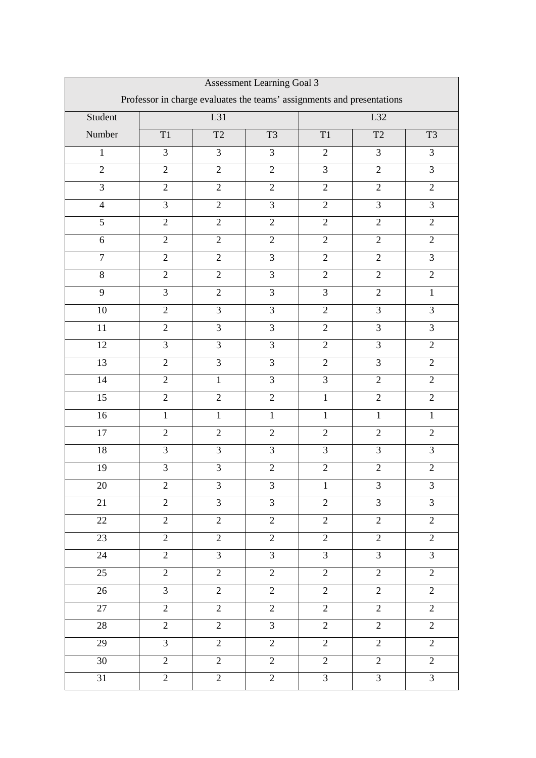| Assessment Learning Goal 3                                             |                |                |                |                |                |                |  |
|------------------------------------------------------------------------|----------------|----------------|----------------|----------------|----------------|----------------|--|
| Professor in charge evaluates the teams' assignments and presentations |                |                |                |                |                |                |  |
| Student                                                                |                | L31            |                |                | L32            |                |  |
| Number                                                                 | $\rm T1$       | T2             | T <sub>3</sub> | $\mathrm{T}1$  | T2             | T <sub>3</sub> |  |
| $\mathbf{1}$                                                           | $\overline{3}$ | $\overline{3}$ | $\overline{3}$ | $\overline{2}$ | 3              | 3              |  |
| $\overline{2}$                                                         | $\overline{2}$ | $\overline{2}$ | $\overline{2}$ | $\overline{3}$ | $\overline{2}$ | 3              |  |
| $\overline{3}$                                                         | $\overline{2}$ | $\overline{2}$ | $\overline{2}$ | $\overline{2}$ | $\overline{2}$ | $\overline{2}$ |  |
| $\overline{4}$                                                         | $\overline{3}$ | $\overline{2}$ | $\overline{3}$ | $\overline{2}$ | $\overline{3}$ | $\overline{3}$ |  |
| 5                                                                      | $\overline{2}$ | $\overline{2}$ | $\overline{2}$ | $\overline{2}$ | $\overline{2}$ | $\overline{2}$ |  |
| 6                                                                      | $\overline{2}$ | $\overline{2}$ | $\overline{2}$ | $\overline{2}$ | $\overline{2}$ | $\overline{2}$ |  |
| $\overline{7}$                                                         | $\overline{2}$ | $\overline{2}$ | $\overline{3}$ | $\overline{2}$ | $\overline{2}$ | 3              |  |
| 8                                                                      | $\overline{2}$ | $\overline{2}$ | $\overline{3}$ | $\overline{2}$ | $\overline{2}$ | $\overline{2}$ |  |
| 9                                                                      | $\overline{3}$ | $\overline{2}$ | $\overline{3}$ | $\overline{3}$ | $\overline{2}$ | $\mathbf{1}$   |  |
| 10                                                                     | $\overline{2}$ | 3              | $\overline{3}$ | $\overline{2}$ | $\overline{3}$ | 3              |  |
| 11                                                                     | $\overline{2}$ | 3              | $\overline{3}$ | $\overline{2}$ | $\overline{3}$ | 3              |  |
| 12                                                                     | $\overline{3}$ | 3              | $\overline{3}$ | $\overline{2}$ | $\overline{3}$ | $\overline{2}$ |  |
| 13                                                                     | $\overline{2}$ | 3              | 3              | $\overline{2}$ | 3              | $\overline{2}$ |  |
| 14                                                                     | $\overline{2}$ | $\mathbf{1}$   | $\overline{3}$ | $\overline{3}$ | $\overline{2}$ | $\overline{2}$ |  |
| 15                                                                     | $\overline{2}$ | $\overline{2}$ | $\overline{2}$ | $\mathbf{1}$   | $\overline{2}$ | $\overline{2}$ |  |
| 16                                                                     | $\mathbf{1}$   | $\mathbf{1}$   | $\mathbf{1}$   | $\mathbf{1}$   | $\mathbf{1}$   | $\mathbf{1}$   |  |
| $\overline{17}$                                                        | $\overline{2}$ | $\overline{2}$ | $\overline{2}$ | $\overline{2}$ | $\overline{2}$ | $\overline{2}$ |  |
| 18                                                                     | 3              | 3              | $\overline{3}$ | 3              | 3              | 3              |  |
| 19                                                                     | $\overline{3}$ | $\overline{3}$ | $\overline{2}$ | $\overline{2}$ | $\overline{2}$ | $\overline{2}$ |  |
| 20                                                                     | $\mathfrak{2}$ | 3              | 3              | $\mathbf{1}$   | 3              | $\mathfrak{Z}$ |  |
| 21                                                                     | $\mathbf{2}$   | 3              | 3              | $\overline{2}$ | 3              | $\overline{3}$ |  |
| 22                                                                     | $\overline{2}$ | $\overline{2}$ | $\overline{2}$ | $\overline{2}$ | $\overline{2}$ | $\overline{2}$ |  |
| 23                                                                     | $\overline{2}$ | $\overline{2}$ | $\overline{2}$ | $\overline{2}$ | $\overline{2}$ | $\overline{2}$ |  |
| 24                                                                     | $\overline{2}$ | $\overline{3}$ | $\overline{3}$ | $\overline{3}$ | $\overline{3}$ | $\overline{3}$ |  |
| 25                                                                     | $\overline{2}$ | $\overline{2}$ | $\overline{2}$ | $\overline{2}$ | $\overline{2}$ | $\overline{2}$ |  |
| 26                                                                     | $\overline{3}$ | $\overline{2}$ | $\overline{2}$ | $\overline{2}$ | $\overline{2}$ | $\overline{2}$ |  |
| 27                                                                     | $\overline{2}$ | $\overline{2}$ | $\overline{2}$ | $\overline{2}$ | $\overline{2}$ | $\overline{2}$ |  |
| 28                                                                     | $\overline{2}$ | $\overline{2}$ | $\overline{3}$ | $\overline{2}$ | $\overline{2}$ | $\overline{2}$ |  |
| 29                                                                     | $\mathfrak{Z}$ | $\mathbf{2}$   | $\overline{2}$ | $\mathbf{2}$   | $\overline{2}$ | $\overline{c}$ |  |
| 30                                                                     | $\overline{2}$ | $\overline{2}$ | $\overline{2}$ | $\overline{2}$ | $\overline{2}$ | $\overline{2}$ |  |
| 31                                                                     | $\overline{2}$ | $\overline{2}$ | $\overline{2}$ | 3              | 3              | 3              |  |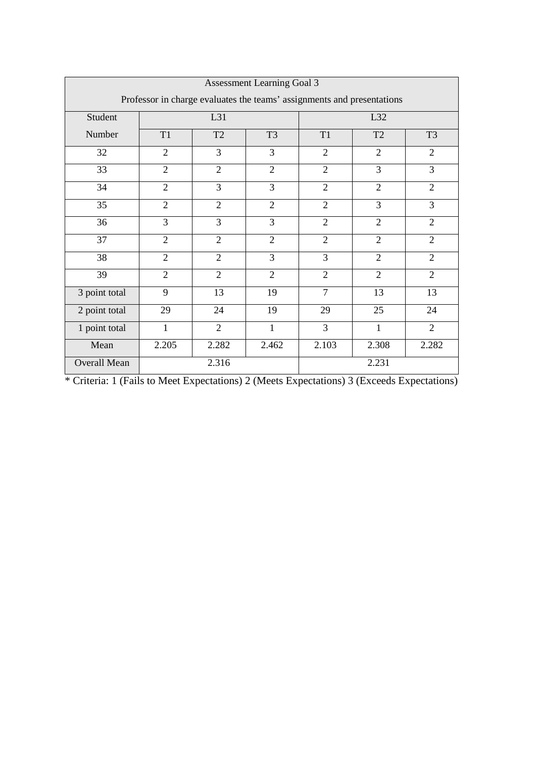|                     | <b>Assessment Learning Goal 3</b>                                      |                |                |                |                |                |  |  |
|---------------------|------------------------------------------------------------------------|----------------|----------------|----------------|----------------|----------------|--|--|
|                     | Professor in charge evaluates the teams' assignments and presentations |                |                |                |                |                |  |  |
| Student             |                                                                        | L31            |                |                | L32            |                |  |  |
| Number              | T <sub>1</sub>                                                         | T <sub>2</sub> | T <sub>3</sub> | T1             | T <sub>2</sub> | T <sub>3</sub> |  |  |
| 32                  | 2                                                                      | 3              | 3              | $\overline{2}$ | $\overline{2}$ | $\overline{2}$ |  |  |
| 33                  | $\overline{2}$                                                         | $\overline{2}$ | $\overline{2}$ | $\overline{2}$ | 3              | 3              |  |  |
| 34                  | $\overline{2}$                                                         | 3              | 3              | $\overline{2}$ | $\overline{2}$ | $\overline{2}$ |  |  |
| 35                  | $\overline{2}$                                                         | $\overline{2}$ | $\overline{2}$ | $\overline{2}$ | $\overline{3}$ | 3              |  |  |
| 36                  | 3                                                                      | 3              | 3              | $\overline{2}$ | $\overline{2}$ | $\overline{2}$ |  |  |
| 37                  | $\overline{2}$                                                         | $\overline{2}$ | $\overline{2}$ | $\overline{2}$ | $\overline{2}$ | $\overline{2}$ |  |  |
| 38                  | $\overline{2}$                                                         | $\overline{2}$ | 3              | 3              | $\overline{2}$ | $\overline{2}$ |  |  |
| 39                  | $\overline{2}$                                                         | $\overline{2}$ | $\overline{2}$ | $\overline{2}$ | $\overline{2}$ | $\overline{2}$ |  |  |
| 3 point total       | 9                                                                      | 13             | 19             | $\overline{7}$ | 13             | 13             |  |  |
| 2 point total       | 29                                                                     | 24             | 19             | 29             | 25             | 24             |  |  |
| 1 point total       | 1                                                                      | $\overline{2}$ | 1              | 3              | 1              | $\overline{2}$ |  |  |
| Mean                | 2.205                                                                  | 2.282          | 2.462          | 2.103          | 2.308          | 2.282          |  |  |
| <b>Overall Mean</b> |                                                                        | 2.316          |                |                | 2.231          |                |  |  |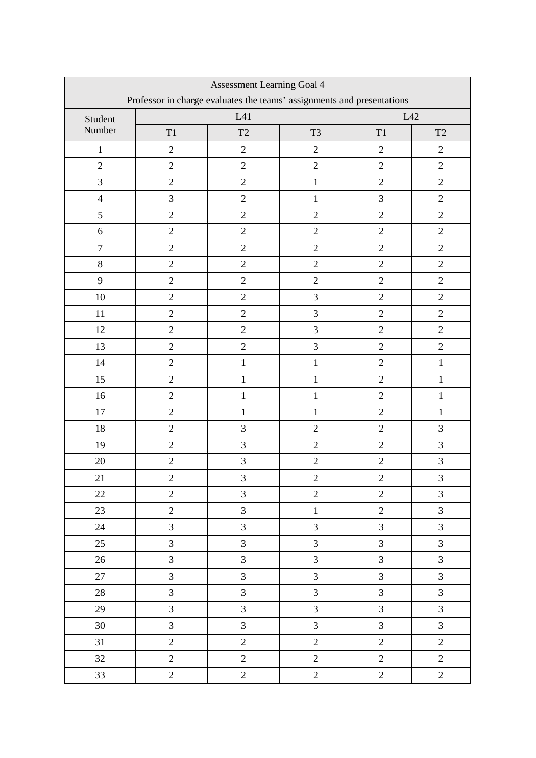| Assessment Learning Goal 4                                             |                |                |                |                |                     |  |  |
|------------------------------------------------------------------------|----------------|----------------|----------------|----------------|---------------------|--|--|
| Professor in charge evaluates the teams' assignments and presentations |                |                |                |                |                     |  |  |
| Student                                                                |                | L41            |                | L42            |                     |  |  |
| Number                                                                 | T1             | T2             | T <sub>3</sub> | T1             | $\operatorname{T2}$ |  |  |
| $\,1\,$                                                                | $\overline{2}$ | $\overline{2}$ | $\overline{2}$ | $\sqrt{2}$     | $\overline{2}$      |  |  |
| $\overline{2}$                                                         | $\overline{2}$ | $\overline{2}$ | $\sqrt{2}$     | $\overline{2}$ | $\overline{2}$      |  |  |
| $\mathfrak{Z}$                                                         | $\overline{2}$ | $\overline{2}$ | $\,1$          | $\sqrt{2}$     | $\overline{2}$      |  |  |
| $\overline{4}$                                                         | 3              | $\overline{c}$ | $\mathbf{1}$   | $\overline{3}$ | $\overline{2}$      |  |  |
| 5                                                                      | $\mathbf{2}$   | $\sqrt{2}$     | $\overline{2}$ | $\sqrt{2}$     | $\overline{2}$      |  |  |
| $\boldsymbol{6}$                                                       | $\overline{2}$ | $\overline{2}$ | $\sqrt{2}$     | $\overline{2}$ | $\overline{2}$      |  |  |
| $\boldsymbol{7}$                                                       | $\overline{2}$ | $\overline{2}$ | $\overline{2}$ | $\overline{2}$ | $\overline{2}$      |  |  |
| $8\,$                                                                  | $\overline{2}$ | $\overline{c}$ | $\sqrt{2}$     | $\sqrt{2}$     | $\overline{2}$      |  |  |
| 9                                                                      | $\overline{2}$ | $\overline{2}$ | $\overline{2}$ | $\overline{2}$ | $\overline{2}$      |  |  |
| 10                                                                     | $\overline{2}$ | $\overline{2}$ | $\overline{3}$ | $\overline{c}$ | $\overline{2}$      |  |  |
| 11                                                                     | $\overline{2}$ | $\overline{2}$ | $\overline{3}$ | $\overline{2}$ | $\overline{2}$      |  |  |
| 12                                                                     | $\overline{2}$ | $\overline{2}$ | $\overline{3}$ | $\overline{2}$ | $\overline{2}$      |  |  |
| 13                                                                     | $\overline{2}$ | $\overline{2}$ | $\overline{3}$ | $\overline{2}$ | $\overline{2}$      |  |  |
| 14                                                                     | $\overline{2}$ | $\mathbf{1}$   | $\mathbf{1}$   | $\overline{2}$ | $\,1$               |  |  |
| 15                                                                     | $\overline{2}$ | $\mathbf{1}$   | $\mathbf{1}$   | $\overline{2}$ | $\,1$               |  |  |
| 16                                                                     | $\overline{2}$ | $\mathbf{1}$   | $\mathbf{1}$   | $\overline{2}$ | $\mathbf{1}$        |  |  |
| 17                                                                     | $\overline{2}$ | $\mathbf{1}$   | $\mathbf{1}$   | $\overline{2}$ | $\mathbf{1}$        |  |  |
| 18                                                                     | $\overline{2}$ | 3              | $\overline{2}$ | $\overline{2}$ | 3                   |  |  |
| 19                                                                     | $\sqrt{2}$     | 3              | $\overline{2}$ | $\overline{2}$ | 3                   |  |  |
| 20                                                                     | $\sqrt{2}$     | 3              | $\overline{c}$ | $\overline{2}$ | 3                   |  |  |
| 21                                                                     | $\overline{c}$ | $\mathfrak{Z}$ | $\overline{c}$ | $\overline{c}$ | $\overline{3}$      |  |  |
| 22                                                                     | $\overline{2}$ | $\overline{3}$ | $\overline{2}$ | $\overline{2}$ | $\overline{3}$      |  |  |
| 23                                                                     | $\overline{2}$ | $\overline{3}$ | $\mathbf{1}$   | $\overline{2}$ | $\overline{3}$      |  |  |
| 24                                                                     | $\overline{3}$ | $\overline{3}$ | $\overline{3}$ | $\overline{3}$ | $\overline{3}$      |  |  |
| 25                                                                     | $\mathfrak{Z}$ | $\overline{3}$ | $\overline{3}$ | $\mathfrak{Z}$ | $\overline{3}$      |  |  |
| 26                                                                     | $\overline{3}$ | $\overline{3}$ | $\overline{3}$ | $\overline{3}$ | $\overline{3}$      |  |  |
| 27                                                                     | $\overline{3}$ | $\overline{3}$ | $\overline{3}$ | $\overline{3}$ | $\overline{3}$      |  |  |
| 28                                                                     | $\overline{3}$ | $\overline{3}$ | $\overline{3}$ | $\overline{3}$ | $\overline{3}$      |  |  |
| 29                                                                     | $\overline{3}$ | $\overline{3}$ | $\overline{3}$ | $\overline{3}$ | $\overline{3}$      |  |  |
| 30                                                                     | $\overline{3}$ | $\overline{3}$ | 3              | 3              | $\overline{3}$      |  |  |
| 31                                                                     | $\overline{2}$ | $\overline{2}$ | $\overline{2}$ | $\overline{2}$ | $\overline{2}$      |  |  |
| 32                                                                     | $\sqrt{2}$     | $\overline{2}$ | $\overline{2}$ | $\sqrt{2}$     | $\overline{2}$      |  |  |
| 33                                                                     | $\overline{2}$ | $\overline{2}$ | $\overline{c}$ | $\sqrt{2}$     | $\overline{c}$      |  |  |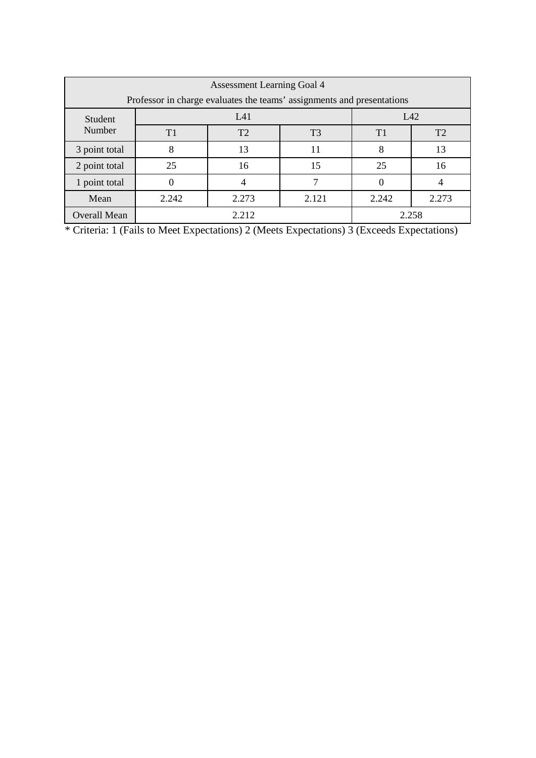| <b>Assessment Learning Goal 4</b>                                      |       |                |                |                |       |
|------------------------------------------------------------------------|-------|----------------|----------------|----------------|-------|
| Professor in charge evaluates the teams' assignments and presentations |       |                |                |                |       |
| Student<br>Number                                                      | L41   |                |                | L42            |       |
|                                                                        | T1    | T <sub>2</sub> | T <sub>3</sub> | T <sub>1</sub> | T2    |
| 3 point total                                                          | 8     | 13             | 11             | 8              | 13    |
| 2 point total                                                          | 25    | 16             | 15             | 25             | 16    |
| 1 point total                                                          |       |                |                |                |       |
| Mean                                                                   | 2.242 | 2.273          | 2.121          | 2.242          | 2.273 |
| <b>Overall Mean</b>                                                    | 2.212 |                |                | 2.258          |       |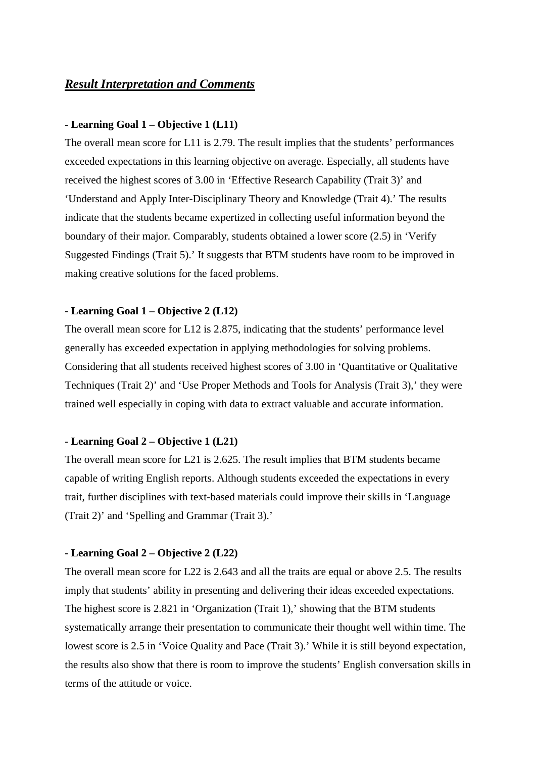## *Result Interpretation and Comments*

## **- Learning Goal 1 – Objective 1 (L11)**

The overall mean score for L11 is 2.79. The result implies that the students' performances exceeded expectations in this learning objective on average. Especially, all students have received the highest scores of 3.00 in 'Effective Research Capability (Trait 3)' and 'Understand and Apply Inter-Disciplinary Theory and Knowledge (Trait 4).' The results indicate that the students became expertized in collecting useful information beyond the boundary of their major. Comparably, students obtained a lower score (2.5) in 'Verify Suggested Findings (Trait 5).' It suggests that BTM students have room to be improved in making creative solutions for the faced problems.

## **- Learning Goal 1 – Objective 2 (L12)**

The overall mean score for L12 is 2.875, indicating that the students' performance level generally has exceeded expectation in applying methodologies for solving problems. Considering that all students received highest scores of 3.00 in 'Quantitative or Qualitative Techniques (Trait 2)' and 'Use Proper Methods and Tools for Analysis (Trait 3),' they were trained well especially in coping with data to extract valuable and accurate information.

### **- Learning Goal 2 – Objective 1 (L21)**

The overall mean score for L21 is 2.625. The result implies that BTM students became capable of writing English reports. Although students exceeded the expectations in every trait, further disciplines with text-based materials could improve their skills in 'Language (Trait 2)' and 'Spelling and Grammar (Trait 3).'

#### **- Learning Goal 2 – Objective 2 (L22)**

The overall mean score for L22 is 2.643 and all the traits are equal or above 2.5. The results imply that students' ability in presenting and delivering their ideas exceeded expectations. The highest score is 2.821 in 'Organization (Trait 1),' showing that the BTM students systematically arrange their presentation to communicate their thought well within time. The lowest score is 2.5 in 'Voice Quality and Pace (Trait 3).' While it is still beyond expectation, the results also show that there is room to improve the students' English conversation skills in terms of the attitude or voice.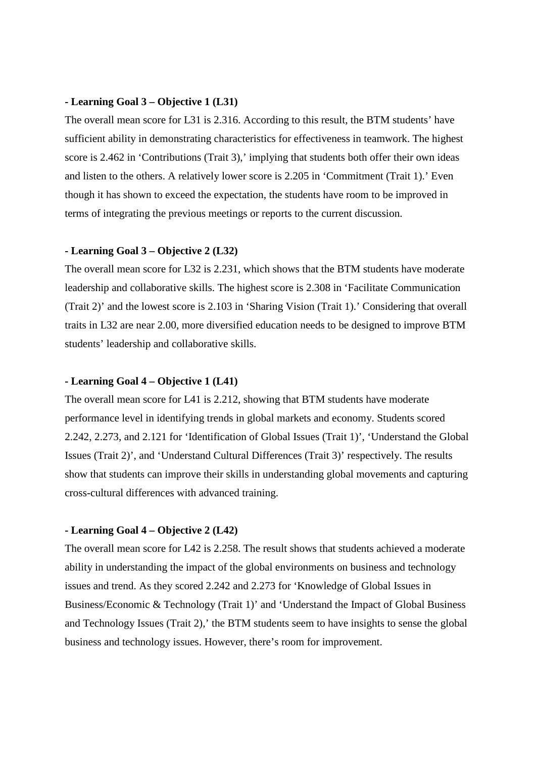## **- Learning Goal 3 – Objective 1 (L31)**

The overall mean score for L31 is 2.316. According to this result, the BTM students' have sufficient ability in demonstrating characteristics for effectiveness in teamwork. The highest score is 2.462 in 'Contributions (Trait 3),' implying that students both offer their own ideas and listen to the others. A relatively lower score is 2.205 in 'Commitment (Trait 1).' Even though it has shown to exceed the expectation, the students have room to be improved in terms of integrating the previous meetings or reports to the current discussion.

## **- Learning Goal 3 – Objective 2 (L32)**

The overall mean score for L32 is 2.231, which shows that the BTM students have moderate leadership and collaborative skills. The highest score is 2.308 in 'Facilitate Communication (Trait 2)' and the lowest score is 2.103 in 'Sharing Vision (Trait 1).' Considering that overall traits in L32 are near 2.00, more diversified education needs to be designed to improve BTM students' leadership and collaborative skills.

## **- Learning Goal 4 – Objective 1 (L41)**

The overall mean score for L41 is 2.212, showing that BTM students have moderate performance level in identifying trends in global markets and economy. Students scored 2.242, 2.273, and 2.121 for 'Identification of Global Issues (Trait 1)', 'Understand the Global Issues (Trait 2)', and 'Understand Cultural Differences (Trait 3)' respectively. The results show that students can improve their skills in understanding global movements and capturing cross-cultural differences with advanced training.

#### **- Learning Goal 4 – Objective 2 (L42)**

The overall mean score for L42 is 2.258. The result shows that students achieved a moderate ability in understanding the impact of the global environments on business and technology issues and trend. As they scored 2.242 and 2.273 for 'Knowledge of Global Issues in Business/Economic & Technology (Trait 1)' and 'Understand the Impact of Global Business and Technology Issues (Trait 2),' the BTM students seem to have insights to sense the global business and technology issues. However, there's room for improvement.